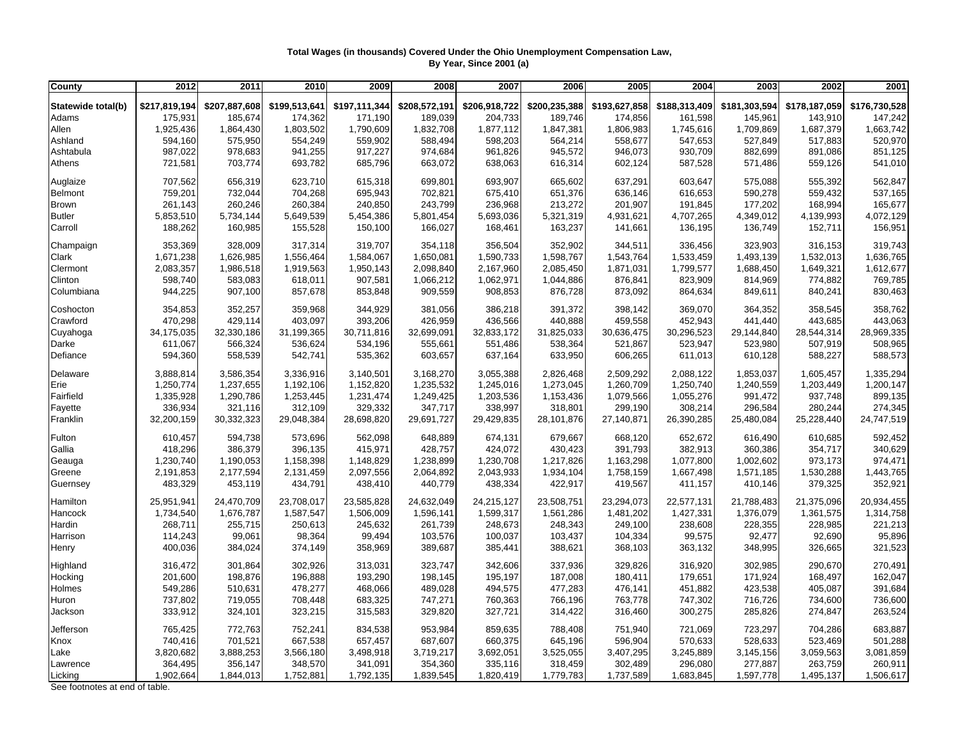## **Total Wages (in thousands) Covered Under the Ohio Unemployment Compensation Law, By Year, Since 2001 (a)**

| County             | 2012          | 2011          | 2010          | 2009          | 2008          | 2007          | 2006          | 2005          | 2004          | 2003          | 2002          | 2001          |
|--------------------|---------------|---------------|---------------|---------------|---------------|---------------|---------------|---------------|---------------|---------------|---------------|---------------|
| Statewide total(b) | \$217,819,194 | \$207,887,608 | \$199,513,641 | \$197,111,344 | \$208,572,191 | \$206,918,722 | \$200,235,388 | \$193,627,858 | \$188,313,409 | \$181,303,594 | \$178,187,059 | \$176,730,528 |
| Adams              | 175,931       | 185,674       | 174,362       | 171,190       | 189,039       | 204,733       | 189,746       | 174,856       | 161,598       | 145,961       | 143,910       | 147,242       |
| Allen              | 1,925,436     | 1,864,430     | 1,803,502     | 1,790,609     | 1,832,708     | 1,877,112     | 1,847,381     | 1,806,983     | 1,745,616     | 1,709,869     | 1,687,379     | 1,663,742     |
| Ashland            | 594,160       | 575,950       | 554,249       | 559,902       | 588,494       | 598,203       | 564,214       | 558,677       | 547,653       | 527,849       | 517,883       | 520,970       |
| Ashtabula          | 987,022       | 978,683       | 941,255       | 917,227       | 974,684       | 961,826       | 945,572       | 946,073       | 930,709       | 882,699       | 891,086       | 851,125       |
| Athens             | 721,581       | 703,774       | 693,782       | 685,796       | 663,072       | 638,063       | 616,314       | 602,124       | 587,528       | 571,486       | 559,126       | 541,010       |
|                    |               |               |               |               |               |               |               |               |               |               |               |               |
| Auglaize           | 707,562       | 656,319       | 623,710       | 615,318       | 699,801       | 693,907       | 665,602       | 637,291       | 603,647       | 575,088       | 555,392       | 562,847       |
| Belmont            | 759,201       | 732,044       | 704,268       | 695,943       | 702,821       | 675,410       | 651,376       | 636,146       | 616,653       | 590,278       | 559,432       | 537,165       |
| Brown              | 261,143       | 260,246       | 260,384       | 240,850       | 243,799       | 236,968       | 213,272       | 201,907       | 191,845       | 177,202       | 168,994       | 165,677       |
| <b>Butler</b>      | 5,853,510     | 5,734,144     | 5,649,539     | 5,454,386     | 5,801,454     | 5,693,036     | 5,321,319     | 4,931,621     | 4,707,265     | 4,349,012     | 4,139,993     | 4,072,129     |
| Carroll            | 188,262       | 160,985       | 155,528       | 150,100       | 166,027       | 168,461       | 163,237       | 141,661       | 136,195       | 136,749       | 152,711       | 156,951       |
| Champaign          | 353,369       | 328,009       | 317,314       | 319,707       | 354,118       | 356,504       | 352,902       | 344,511       | 336,456       | 323,903       | 316,153       | 319,743       |
| Clark              | 1,671,238     | 1,626,985     | 1,556,464     | 1,584,067     | 1,650,081     | 1,590,733     | 1,598,767     | 1,543,764     | 1,533,459     | 1,493,139     | 1,532,013     | 1,636,765     |
| Clermont           | 2,083,357     | 1,986,518     | 1,919,563     | 1,950,143     | 2,098,840     | 2,167,960     | 2,085,450     | 1,871,031     | 1,799,577     | 1,688,450     | 1,649,321     | 1,612,677     |
| Clinton            | 598,740       | 583,083       | 618,011       | 907,581       | 1,066,212     | 1,062,971     | 1,044,886     | 876,841       | 823,909       | 814,969       | 774,882       | 769,785       |
| Columbiana         | 944,225       | 907,100       | 857,678       | 853,848       | 909,559       | 908,853       | 876,728       | 873,092       | 864,634       | 849,611       | 840,241       | 830,463       |
| Coshocton          | 354,853       | 352,257       | 359,968       | 344,929       | 381,056       | 386,218       | 391,372       | 398,142       | 369,070       | 364,352       | 358,545       | 358,762       |
| Crawford           | 470,298       | 429,114       | 403,097       | 393,206       | 426,959       | 436,566       | 440,888       | 459,558       | 452,943       | 441,440       | 443,685       | 443,063       |
| Cuyahoga           | 34,175,035    | 32,330,186    | 31,199,365    | 30,711,816    | 32,699,091    | 32,833,172    | 31,825,033    | 30,636,475    | 30,296,523    | 29,144,840    | 28,544,314    | 28,969,335    |
| Darke              | 611,067       | 566,324       | 536,624       | 534,196       | 555,661       | 551,486       | 538,364       | 521,867       | 523,947       | 523,980       | 507,919       | 508,965       |
| Defiance           | 594,360       | 558,539       | 542,741       | 535,362       | 603,657       | 637,164       | 633,950       | 606,265       | 611,013       | 610,128       | 588,227       | 588,573       |
| Delaware           | 3,888,814     | 3,586,354     | 3,336,916     | 3,140,501     | 3,168,270     | 3,055,388     | 2,826,468     | 2,509,292     | 2,088,122     | 1,853,037     | 1,605,457     | 1,335,294     |
| Erie               | 1,250,774     | 1,237,655     | 1,192,106     | 1,152,820     | 1,235,532     | 1,245,016     | 1,273,045     | 1,260,709     | 1,250,740     | 1,240,559     | 1,203,449     | 1,200,147     |
| Fairfield          | 1,335,928     | 1,290,786     | 1,253,445     | 1,231,474     | 1,249,425     | 1,203,536     | 1,153,436     | 1,079,566     | 1,055,276     | 991,472       | 937,748       | 899,135       |
| Fayette            | 336,934       | 321,116       | 312,109       | 329,332       | 347,717       | 338,997       | 318,801       | 299,190       | 308,214       | 296,584       | 280,244       | 274,345       |
| Franklin           | 32,200,159    | 30,332,323    | 29,048,384    | 28,698,820    | 29,691,727    | 29,429,835    | 28,101,876    | 27,140,871    | 26,390,285    | 25,480,084    | 25,228,440    | 24,747,519    |
| Fulton             | 610,457       | 594,738       | 573,696       | 562,098       | 648,889       | 674,131       | 679,667       | 668,120       | 652,672       | 616,490       | 610,685       | 592,452       |
| Gallia             | 418,296       | 386,379       | 396,135       | 415,971       | 428,757       | 424,072       | 430,423       | 391,793       | 382,913       | 360,386       | 354,717       | 340,629       |
| Geauga             | 1,230,740     | 1,190,053     | 1,158,398     | 1,148,829     | 1,238,899     | 1,230,708     | 1,217,826     | 1,163,298     | 1,077,800     | 1,002,602     | 973,173       | 974,471       |
| Greene             | 2,191,853     | 2,177,594     | 2,131,459     | 2,097,556     | 2,064,892     | 2,043,933     | 1,934,104     | 1,758,159     | 1,667,498     | 1,571,185     | 1,530,288     | 1,443,765     |
| Guernsey           | 483,329       | 453,119       | 434,791       | 438,410       | 440,779       | 438,334       | 422,917       | 419,567       | 411,157       | 410,146       | 379,325       | 352,921       |
| Hamilton           | 25,951,941    | 24,470,709    | 23,708,017    | 23,585,828    | 24,632,049    | 24,215,127    | 23,508,751    | 23,294,073    | 22,577,131    | 21,788,483    | 21,375,096    | 20,934,455    |
| Hancock            | 1,734,540     | 1,676,787     | 1,587,547     | 1,506,009     | 1,596,141     | 1,599,317     | 1,561,286     | 1,481,202     | 1,427,331     | 1,376,079     | 1,361,575     | 1,314,758     |
| Hardin             | 268,711       | 255,715       | 250,613       | 245,632       | 261,739       | 248,673       | 248,343       | 249,100       | 238,608       | 228,355       | 228,985       | 221,213       |
| Harrison           | 114,243       | 99,061        | 98,364        | 99,494        | 103,576       | 100,037       | 103,437       | 104,334       | 99,575        | 92,477        | 92,690        | 95,896        |
| Henry              | 400,036       | 384,024       | 374,149       | 358,969       | 389,687       | 385,441       | 388,621       | 368,103       | 363,132       | 348,995       | 326,665       | 321,523       |
| Highland           | 316,472       | 301,864       | 302,926       | 313,031       | 323,747       | 342,606       | 337,936       | 329,826       | 316,920       | 302,985       | 290,670       | 270,491       |
| Hocking            | 201,600       | 198,876       | 196,888       | 193,290       | 198,145       | 195,197       | 187,008       | 180,411       | 179,651       | 171,924       | 168,497       | 162,047       |
| Holmes             | 549,286       | 510,631       | 478,277       | 468,066       | 489,028       | 494,575       | 477,283       | 476,141       | 451,882       | 423,538       | 405,087       | 391,684       |
| Huron              | 737,802       | 719,055       | 708,448       | 683,325       | 747,271       | 760,363       | 766,196       | 763,778       | 747,302       | 716,726       | 734,600       | 736,600       |
| Jackson            | 333,912       | 324,101       | 323,215       | 315,583       | 329,820       | 327,721       | 314,422       | 316,460       | 300,275       | 285,826       | 274,847       | 263,524       |
| Jefferson          | 765,425       | 772,763       | 752,241       | 834,538       | 953,984       | 859,635       | 788,408       | 751,940       | 721,069       | 723,297       | 704,286       | 683,887       |
| Knox               | 740,416       | 701,521       | 667,538       | 657,457       | 687,607       | 660,375       | 645,196       | 596,904       | 570,633       | 528,633       | 523,469       | 501,288       |
| Lake               | 3,820,682     | 3,888,253     | 3,566,180     | 3,498,918     | 3,719,217     | 3,692,051     | 3,525,055     | 3,407,295     | 3,245,889     | 3,145,156     | 3,059,563     | 3,081,859     |
| Lawrence           | 364,495       | 356,147       | 348,570       | 341,091       | 354,360       | 335,116       | 318,459       | 302,489       | 296,080       | 277,887       | 263,759       | 260,911       |
| Licking            | 1,902,664     | 1,844,013     | 1,752,881     | 1,792,135     | 1,839,545     | 1,820,419     | 1,779,783     | 1,737,589     | 1,683,845     | 1,597,778     | 1,495,137     | 1,506,617     |

See footnotes at end of table.